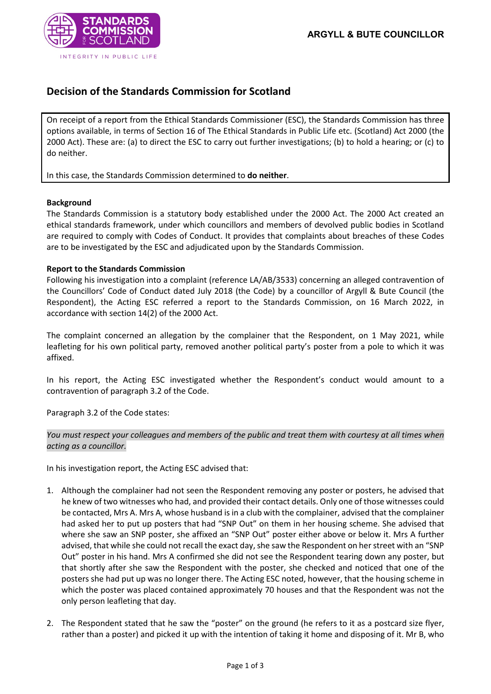

## **Decision of the Standards Commission for Scotland**

On receipt of a report from the Ethical Standards Commissioner (ESC), the Standards Commission has three options available, in terms of Section 16 of The Ethical Standards in Public Life etc. (Scotland) Act 2000 (the 2000 Act). These are: (a) to direct the ESC to carry out further investigations; (b) to hold a hearing; or (c) to do neither.

In this case, the Standards Commission determined to **do neither**.

## **Background**

The Standards Commission is a statutory body established under the 2000 Act. The 2000 Act created an ethical standards framework, under which councillors and members of devolved public bodies in Scotland are required to comply with Codes of Conduct. It provides that complaints about breaches of these Codes are to be investigated by the ESC and adjudicated upon by the Standards Commission.

## **Report to the Standards Commission**

Following his investigation into a complaint (reference LA/AB/3533) concerning an alleged contravention of the Councillors' Code of Conduct dated July 2018 (the Code) by a councillor of Argyll & Bute Council (the Respondent), the Acting ESC referred a report to the Standards Commission, on 16 March 2022, in accordance with section 14(2) of the 2000 Act.

The complaint concerned an allegation by the complainer that the Respondent, on 1 May 2021, while leafleting for his own political party, removed another political party's poster from a pole to which it was affixed.

In his report, the Acting ESC investigated whether the Respondent's conduct would amount to a contravention of paragraph 3.2 of the Code.

Paragraph 3.2 of the Code states:

*You must respect your colleagues and members of the public and treat them with courtesy at all times when acting as a councillor.*

In his investigation report, the Acting ESC advised that:

- 1. Although the complainer had not seen the Respondent removing any poster or posters, he advised that he knew of two witnesses who had, and provided their contact details. Only one of those witnesses could be contacted, Mrs A. Mrs A, whose husband is in a club with the complainer, advised that the complainer had asked her to put up posters that had "SNP Out" on them in her housing scheme. She advised that where she saw an SNP poster, she affixed an "SNP Out" poster either above or below it. Mrs A further advised, that while she could not recall the exact day, she saw the Respondent on her street with an "SNP Out" poster in his hand. Mrs A confirmed she did not see the Respondent tearing down any poster, but that shortly after she saw the Respondent with the poster, she checked and noticed that one of the posters she had put up was no longer there. The Acting ESC noted, however, that the housing scheme in which the poster was placed contained approximately 70 houses and that the Respondent was not the only person leafleting that day.
- 2. The Respondent stated that he saw the "poster" on the ground (he refers to it as a postcard size flyer, rather than a poster) and picked it up with the intention of taking it home and disposing of it. Mr B, who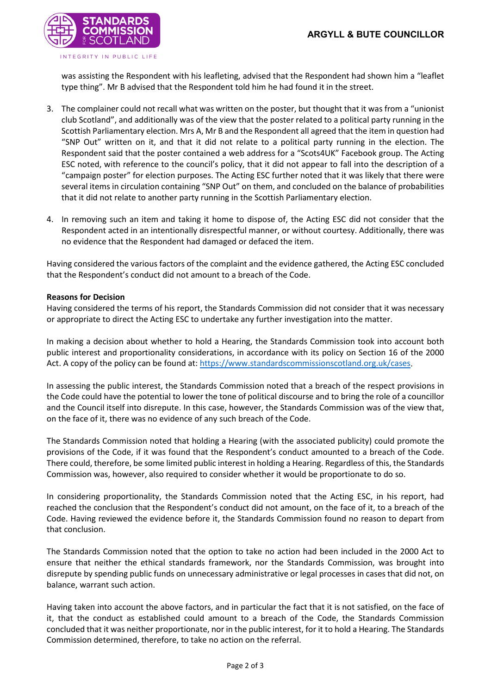

was assisting the Respondent with his leafleting, advised that the Respondent had shown him a "leaflet type thing". Mr B advised that the Respondent told him he had found it in the street.

- 3. The complainer could not recall what was written on the poster, but thought that it was from a "unionist club Scotland", and additionally was of the view that the poster related to a political party running in the Scottish Parliamentary election. Mrs A, Mr B and the Respondent all agreed that the item in question had "SNP Out" written on it, and that it did not relate to a political party running in the election. The Respondent said that the poster contained a web address for a "Scots4UK" Facebook group. The Acting ESC noted, with reference to the council's policy, that it did not appear to fall into the description of a "campaign poster" for election purposes. The Acting ESC further noted that it was likely that there were several items in circulation containing "SNP Out" on them, and concluded on the balance of probabilities that it did not relate to another party running in the Scottish Parliamentary election.
- 4. In removing such an item and taking it home to dispose of, the Acting ESC did not consider that the Respondent acted in an intentionally disrespectful manner, or without courtesy. Additionally, there was no evidence that the Respondent had damaged or defaced the item.

Having considered the various factors of the complaint and the evidence gathered, the Acting ESC concluded that the Respondent's conduct did not amount to a breach of the Code.

## **Reasons for Decision**

Having considered the terms of his report, the Standards Commission did not consider that it was necessary or appropriate to direct the Acting ESC to undertake any further investigation into the matter.

In making a decision about whether to hold a Hearing, the Standards Commission took into account both public interest and proportionality considerations, in accordance with its policy on Section 16 of the 2000 Act. A copy of the policy can be found at: [https://www.standardscommissionscotland.org.uk/cases.](https://www.standardscommissionscotland.org.uk/cases)

In assessing the public interest, the Standards Commission noted that a breach of the respect provisions in the Code could have the potential to lower the tone of political discourse and to bring the role of a councillor and the Council itself into disrepute. In this case, however, the Standards Commission was of the view that, on the face of it, there was no evidence of any such breach of the Code.

The Standards Commission noted that holding a Hearing (with the associated publicity) could promote the provisions of the Code, if it was found that the Respondent's conduct amounted to a breach of the Code. There could, therefore, be some limited public interest in holding a Hearing. Regardless of this, the Standards Commission was, however, also required to consider whether it would be proportionate to do so.

In considering proportionality, the Standards Commission noted that the Acting ESC, in his report, had reached the conclusion that the Respondent's conduct did not amount, on the face of it, to a breach of the Code. Having reviewed the evidence before it, the Standards Commission found no reason to depart from that conclusion.

The Standards Commission noted that the option to take no action had been included in the 2000 Act to ensure that neither the ethical standards framework, nor the Standards Commission, was brought into disrepute by spending public funds on unnecessary administrative or legal processes in cases that did not, on balance, warrant such action.

Having taken into account the above factors, and in particular the fact that it is not satisfied, on the face of it, that the conduct as established could amount to a breach of the Code, the Standards Commission concluded that it was neither proportionate, nor in the public interest, for it to hold a Hearing. The Standards Commission determined, therefore, to take no action on the referral.